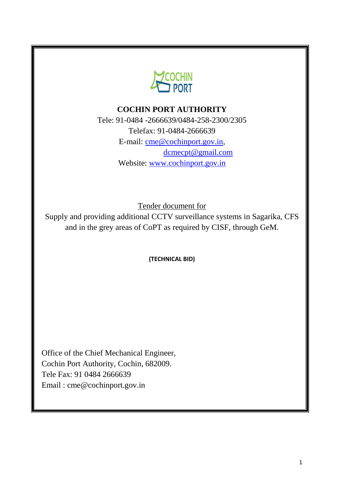

## **COCHIN PORT AUTHORITY**

Tele: 91-0484 -2666639/0484-258-2300/2305 Telefax: 91-0484-2666639 E-mail: [cme@cochinport.gov.in,](mailto:ce@cochinport.gov.in) [dcmecpt@gmail.com](mailto:dcmecpt@gmail.com) Website: [www.cochinport.gov.in](http://www.cochinport.gov.in/)

Tender document for

Supply and providing additional CCTV surveillance systems in Sagarika, CFS and in the grey areas of CoPT as required by CISF, through GeM.

**(TECHNICAL BID)**

Office of the Chief Mechanical Engineer, Cochin Port Authority, Cochin, 682009. Tele Fax: 91 0484 2666639 [Email : cme@cochinport.gov.in](mailto:cme@cochinport.gov.in)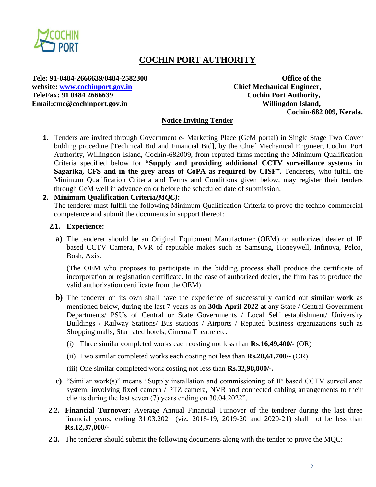

# **COCHIN PORT AUTHORITY**

**Tele: 91-0484-2666639/0484-2582300 Office of the website: [www.cochinport.gov.in](http://www.cochinport.gov.in/) Chief Mechanical Engineer, TeleFax: 91 0484 2666639 Cochin Port Authority,** Email:cme@cochinport.gov.in Willingdon Island,

**Cochin-682 009, Kerala.**

#### **Notice Inviting Tender**

**1.** Tenders are invited through Government e- Marketing Place (GeM portal) in Single Stage Two Cover bidding procedure [Technical Bid and Financial Bid], by the Chief Mechanical Engineer, Cochin Port Authority, Willingdon Island, Cochin-682009, from reputed firms meeting the Minimum Qualification Criteria specified below for **"Supply and providing additional CCTV surveillance systems in Sagarika, CFS and in the grey areas of CoPA as required by CISF".** Tenderers, who fulfill the Minimum Qualification Criteria and Terms and Conditions given below, may register their tenders through GeM well in advance on or before the scheduled date of submission.

#### **2. Minimum Qualification Criteria***(MQC)***:**

The tenderer must fulfill the following Minimum Qualification Criteria to prove the techno-commercial competence and submit the documents in support thereof:

#### **2.1. Experience:**

**a)** The tenderer should be an Original Equipment Manufacturer (OEM) or authorized dealer of IP based CCTV Camera, NVR of reputable makes such as Samsung, Honeywell, Infinova, Pelco, Bosh, Axis.

(The OEM who proposes to participate in the bidding process shall produce the certificate of incorporation or registration certificate. In the case of authorized dealer, the firm has to produce the valid authorization certificate from the OEM).

- **b)** The tenderer on its own shall have the experience of successfully carried out **similar work** as mentioned below, during the last 7 years as on **30th April 2022** at any State / Central Government Departments/ PSUs of Central or State Governments / Local Self establishment/ University Buildings / Railway Stations/ Bus stations / Airports / Reputed business organizations such as Shopping malls, Star rated hotels, Cinema Theatre etc.
	- (i) Three similar completed works each costing not less than **Rs.16,49,400/-** (OR)
	- (ii) Two similar completed works each costing not less than **Rs.20,61,700/-** (OR)
	- (iii) One similar completed work costing not less than **Rs.32,98,800/-.**
- **c)** "Similar work(s)" means "Supply installation and commissioning of IP based CCTV surveillance system, involving fixed camera / PTZ camera, NVR and connected cabling arrangements to their clients during the last seven (7) years ending on 30.04.2022".
- **2.2. Financial Turnover:** Average Annual Financial Turnover of the tenderer during the last three financial years, ending 31.03.2021 (viz. 2018-19, 2019-20 and 2020-21) shall not be less than **Rs.12,37,000/-**
- **2.3.** The tenderer should submit the following documents along with the tender to prove the MQC: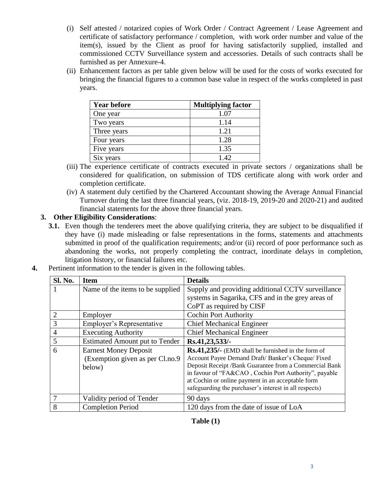- (i) Self attested / notarized copies of Work Order / Contract Agreement / Lease Agreement and certificate of satisfactory performance / completion, with work order number and value of the item(s), issued by the Client as proof for having satisfactorily supplied, installed and commissioned CCTV Surveillance system and accessories. Details of such contracts shall be furnished as per Annexure-4.
- (ii) Enhancement factors as per table given below will be used for the costs of works executed for bringing the financial figures to a common base value in respect of the works completed in past years.

| <b>Year before</b> | <b>Multiplying factor</b> |
|--------------------|---------------------------|
| One year           | 1.07                      |
| Two years          | 1.14                      |
| Three years        | 1.21                      |
| Four years         | 1.28                      |
| Five years         | 1.35                      |
| Six years          | $1\,42$                   |

- (iii) The experience certificate of contracts executed in private sectors / organizations shall be considered for qualification, on submission of TDS certificate along with work order and completion certificate.
- (iv) A statement duly certified by the Chartered Accountant showing the Average Annual Financial Turnover during the last three financial years, (viz. 2018-19, 2019-20 and 2020-21) and audited financial statements for the above three financial years.

## **3. Other Eligibility Considerations**:

**3.1.** Even though the tenderers meet the above qualifying criteria, they are subject to be disqualified if they have (i) made misleading or false representations in the forms, statements and attachments submitted in proof of the qualification requirements; and/or (ii) record of poor performance such as abandoning the works, not properly completing the contract, inordinate delays in completion, litigation history, or financial failures etc.

| Sl. No.        | <b>Item</b>                                                                | <b>Details</b>                                                                                                                                                                                                                                                                                                                           |
|----------------|----------------------------------------------------------------------------|------------------------------------------------------------------------------------------------------------------------------------------------------------------------------------------------------------------------------------------------------------------------------------------------------------------------------------------|
| 1              | Name of the items to be supplied                                           | Supply and providing additional CCTV surveillance                                                                                                                                                                                                                                                                                        |
|                |                                                                            | systems in Sagarika, CFS and in the grey areas of                                                                                                                                                                                                                                                                                        |
|                |                                                                            | CoPT as required by CISF                                                                                                                                                                                                                                                                                                                 |
| $\overline{2}$ | Employer                                                                   | <b>Cochin Port Authority</b>                                                                                                                                                                                                                                                                                                             |
| 3              | Employer's Representative                                                  | <b>Chief Mechanical Engineer</b>                                                                                                                                                                                                                                                                                                         |
| $\overline{4}$ | <b>Executing Authority</b>                                                 | <b>Chief Mechanical Engineer</b>                                                                                                                                                                                                                                                                                                         |
| 5              | <b>Estimated Amount put to Tender</b>                                      | Rs.41,23,533/-                                                                                                                                                                                                                                                                                                                           |
| 6              | <b>Earnest Money Deposit</b><br>(Exemption given as per Cl.no.9)<br>below) | Rs.41,235/- (EMD shall be furnished in the form of<br>Account Payee Demand Draft/Banker's Cheque/Fixed<br>Deposit Receipt /Bank Guarantee from a Commercial Bank<br>in favour of "FA&CAO, Cochin Port Authority", payable<br>at Cochin or online payment in an acceptable form<br>safeguarding the purchaser's interest in all respects) |
| 7              | Validity period of Tender                                                  | 90 days                                                                                                                                                                                                                                                                                                                                  |
| 8              | <b>Completion Period</b>                                                   | 120 days from the date of issue of LoA                                                                                                                                                                                                                                                                                                   |

**4.** Pertinent information to the tender is given in the following tables.

**Table (1)**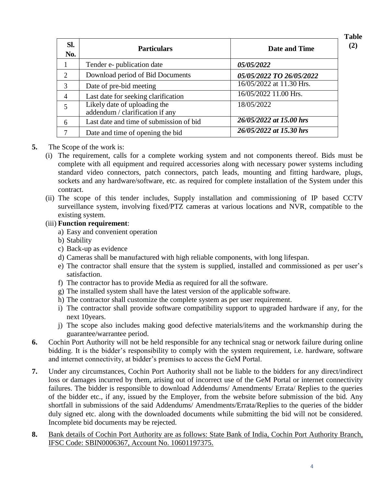| SI.<br>No.                  | <b>Particulars</b>                                              | <b>Date and Time</b>     |
|-----------------------------|-----------------------------------------------------------------|--------------------------|
|                             | Tender e- publication date                                      | <i>05/05/2022</i>        |
| $\mathcal{D}_{\mathcal{L}}$ | Download period of Bid Documents                                | 05/05/2022 TO 26/05/2022 |
| 3                           | Date of pre-bid meeting                                         | 16/05/2022 at 11.30 Hrs. |
| 4                           | Last date for seeking clarification                             | 16/05/2022 11.00 Hrs.    |
| 5                           | Likely date of uploading the<br>addendum / clarification if any | 18/05/2022               |
| 6                           | Last date and time of submission of bid                         | 26/05/2022 at 15.00 hrs  |
|                             | Date and time of opening the bid                                | 26/05/2022 at 15.30 hrs  |

### **5.** The Scope of the work is:

- (i) The requirement, calls for a complete working system and not components thereof. Bids must be complete with all equipment and required accessories along with necessary power systems including standard video connectors, patch connectors, patch leads, mounting and fitting hardware, plugs, sockets and any hardware/software, etc. as required for complete installation of the System under this contract.
- (ii) The scope of this tender includes, Supply installation and commissioning of IP based CCTV surveillance system, involving fixed/PTZ cameras at various locations and NVR, compatible to the existing system.
- (iii) **Function requirement**:
	- a) Easy and convenient operation
	- b) Stability
	- c) Back-up as evidence
	- d) Cameras shall be manufactured with high reliable components, with long lifespan.
	- e) The contractor shall ensure that the system is supplied, installed and commissioned as per user's satisfaction.
	- f) The contractor has to provide Media as required for all the software.
	- g) The installed system shall have the latest version of the applicable software.
	- h) The contractor shall customize the complete system as per user requirement.
	- i) The contractor shall provide software compatibility support to upgraded hardware if any, for the next 10years.
	- j) The scope also includes making good defective materials/items and the workmanship during the guarantee/warrantee period.
- **6.** Cochin Port Authority will not be held responsible for any technical snag or network failure during online bidding. It is the bidder's responsibility to comply with the system requirement, i.e. hardware, software and internet connectivity, at bidder's premises to access the GeM Portal.
- **7.** Under any circumstances, Cochin Port Authority shall not be liable to the bidders for any direct/indirect loss or damages incurred by them, arising out of incorrect use of the GeM Portal or internet connectivity failures. The bidder is responsible to download Addendums/ Amendments/ Errata/ Replies to the queries of the bidder etc., if any, issued by the Employer, from the website before submission of the bid. Any shortfall in submissions of the said Addendums/ Amendments/Errata/Replies to the queries of the bidder duly signed etc. along with the downloaded documents while submitting the bid will not be considered. Incomplete bid documents may be rejected.
- **8.** Bank details of Cochin Port Authority are as follows: State Bank of India, Cochin Port Authority Branch, IFSC Code: SBIN0006367, Account No. 10601197375.

**Table (2)**